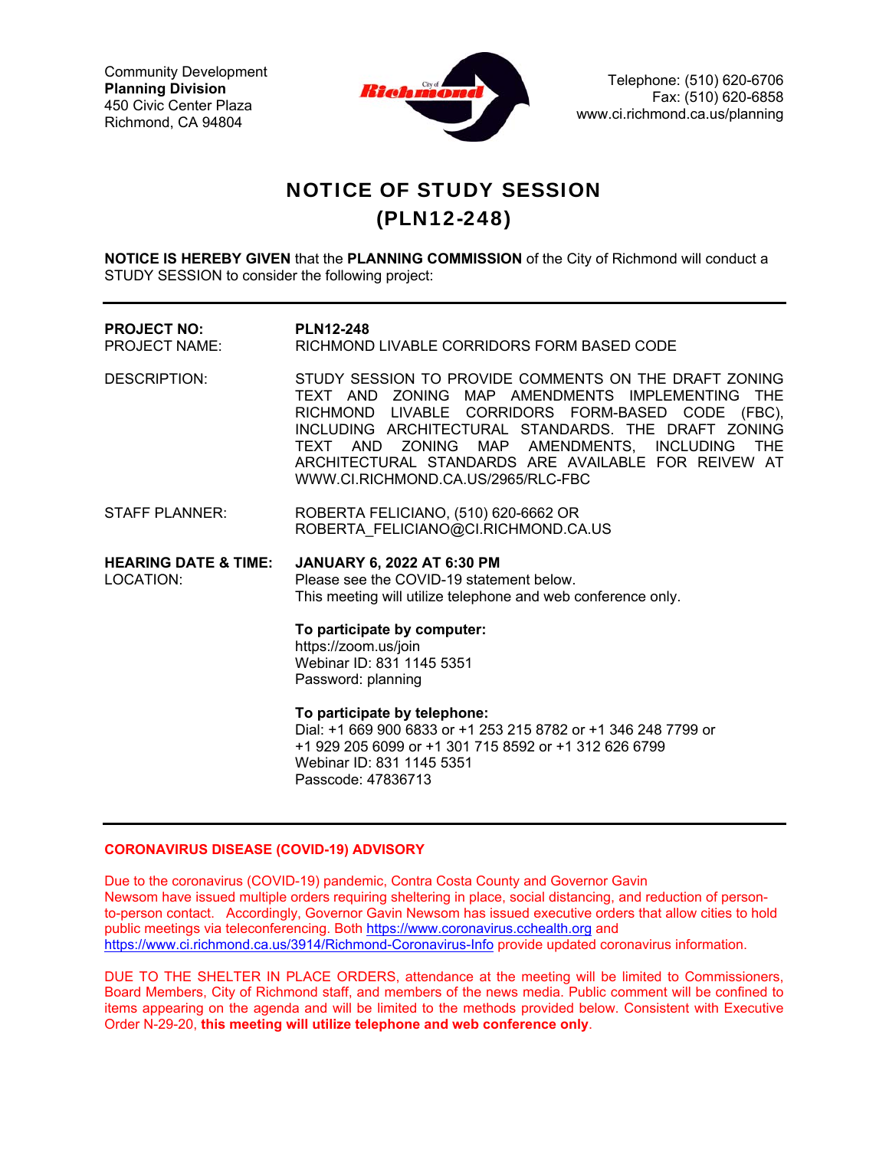Community Development **Planning Division**  450 Civic Center Plaza Richmond, CA 94804



Telephone: (510) 620-6706 Fax: (510) 620-6858 www.ci.richmond.ca.us/planning

# NOTICE OF STUDY SESSION (PLN12-248)

**NOTICE IS HEREBY GIVEN** that the **PLANNING COMMISSION** of the City of Richmond will conduct a STUDY SESSION to consider the following project:

**PROJECT NO: PLN12-248** PROJECT NAME: RICHMOND LIVABLE CORRIDORS FORM BASED CODE DESCRIPTION: STUDY SESSION TO PROVIDE COMMENTS ON THE DRAFT ZONING TEXT AND ZONING MAP AMENDMENTS IMPLEMENTING THE RICHMOND LIVABLE CORRIDORS FORM-BASED CODE (FBC), INCLUDING ARCHITECTURAL STANDARDS. THE DRAFT ZONING TEXT AND ZONING MAP AMENDMENTS, INCLUDING THE ARCHITECTURAL STANDARDS ARE AVAILABLE FOR REIVEW AT WWW.CI.RICHMOND.CA.US/2965/RLC-FBC STAFF PLANNER: ROBERTA FELICIANO, (510) 620-6662 OR ROBERTA\_FELICIANO@CI.RICHMOND.CA.US **HEARING DATE & TIME: JANUARY 6, 2022 AT 6:30 PM** LOCATION: Please see the COVID-19 statement below. This meeting will utilize telephone and web conference only. **To participate by computer:**  https://zoom.us/join Webinar ID: 831 1145 5351 Password: planning **To participate by telephone:**  Dial: +1 669 900 6833 or +1 253 215 8782 or +1 346 248 7799 or +1 929 205 6099 or +1 301 715 8592 or +1 312 626 6799 Webinar ID: 831 1145 5351 Passcode: 47836713

### **CORONAVIRUS DISEASE (COVID-19) ADVISORY**

Due to the coronavirus (COVID-19) pandemic, Contra Costa County and Governor Gavin Newsom have issued multiple orders requiring sheltering in place, social distancing, and reduction of personto-person contact. Accordingly, Governor Gavin Newsom has issued executive orders that allow cities to hold public meetings via teleconferencing. Both https://www.coronavirus.cchealth.org and https://www.ci.richmond.ca.us/3914/Richmond-Coronavirus-Info provide updated coronavirus information.

DUE TO THE SHELTER IN PLACE ORDERS, attendance at the meeting will be limited to Commissioners, Board Members, City of Richmond staff, and members of the news media. Public comment will be confined to items appearing on the agenda and will be limited to the methods provided below. Consistent with Executive Order N-29-20, **this meeting will utilize telephone and web conference only**.